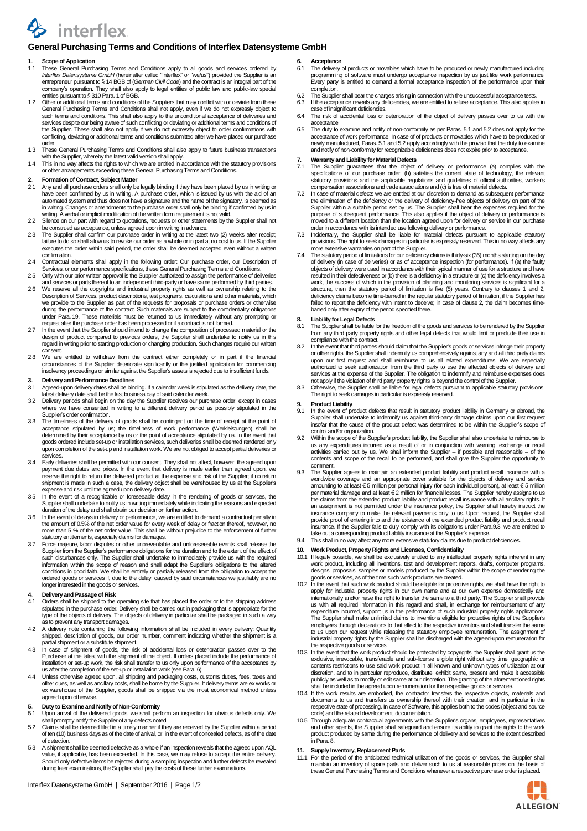

## **General Purchasing Terms and Conditions of Interflex Datensysteme GmbH**

## **1. Scope of Application**

- 1.1 These General Purchasing Terms and Conditions apply to all goods and services ordered by *Interflex Datensysteme GmbH* (hereinafter called "Interflex" or "we/us") provided the Supplier is an entrepreneur pursuant to § 14 BGB of (*German Civil Code*) and the contract is an integral part of the
- company's operation. They shall also apply to legal entities of public law and public-law special<br>entities pursuant to § 310 Para. 1 of BGB.<br>Other or additional terms and conditions of the Suppliers that may conflict with such terms and conditions. This shall also apply to the unconditional acceptance of deliveries and services despite our being aware of such conflicting or deviating or additional terms and conditions of<br>the Supplier. These shall also not apply if we do not expressly object to order confirmations with<br>conflicting, deviat order.
- 1.3 These General Purchasing Terms and Conditions shall also apply to future business transactions
- with the Supplier, whereby the latest valid version shall apply.<br>1.4 This in no way affects the rights to which we are entitled in accordance with the statutory provisions or other arrangements exceeding these General Purchasing Terms and Conditions.

#### **2. Formation of Contract, Subject Matter**

- 2.1 Any and all purchase orders shall only be legally binding if they have been placed by us in writing or<br>have been confirmed by us in writing. A purchase order, which is issued by us with the aid of an<br>automated system a writing. A verbal or implicit modification of the written form requirement is not valid.
- 2.2 Silence on our part with regard to quotations, requests or other statements by the Supplier shall not
- be construed as acceptance, unless agreed upon in writing in advance.<br>2.3 The Supplier shall confirm our purchase order in writing at the latest two (2) weeks after receipt;<br>failure to do so shall allow us to revoke our or executes the order within said period, the order shall be deemed accepted even without a written confirmation.
- 2.4 Contractual elements shall apply in the following order: Our purchase order, our Description of Services, or our performance specifications, these General Purchasing Terms and Conditions.
- 2.5 Only with our prior written approval is the Supplier authorized to assign the performance of deliveries and services or parts thereof to an independent third-party or have same performed by third parties.
- 2.6 We reserve all the copyrights and industrial property rights as well as ownership relating to the Description of Services, product descriptions, test programs, calculations and other materials, which we provide to the under Para. 19. These materials must be returned to us immediately without any prompting or
- request after the purchase order has been processed or if a contract is not formed. 2.7 In the event that the Supplier should intend to change the composition of processed material or the design of product compared to previous orders, the Supplier shall undertake to notify us in this regard in writing prior to starting production or changing production. Such changes require our written consent.
- 2.8 We are entitled to withdraw from the contract either completely or in part if the financial<br>circumstances of the Supplier deteriorate significantly or the justified application for commencing<br>insolvency proceedings or

# **3. Delivery and Performance Deadlines**

- Agreed-upon delivery dates shall be binding. If a calendar week is stipulated as the delivery date, the
- latest delivery date shall be the last business day of said calendar week.<br>3.2 Delivery periods shall begin on the day the Supplier receives our purchase order, except in cases<br>where we have consented in writing to a diffe Supplier's order confirmation.
- 3.3 The timeliness of the delivery of goods shall be contingent on the time of receipt at the point of acceptance stipulated by us; the timeliness of work performance (Werkleistungen) shall be determined by their acceptance by us or the point of acceptance stipulated by us. In the event that goods ordered include set-up or installation services, such deliveries shall be deemed rendered only upon completion of the set-up and installation work. We are not obliged to accept partial deliveries or services.
- Early deliveries shall be permitted with our consent. They shall not affect, however, the agreed upon payment due dates and prices. In the event that delivery is made earlier than agreed upon, we<br>reserve the right to retum the delivered product at the expense and risk of the Supplier; if no retum<br>shipment is made in such a
- expense and risk until the agreed upon delivery date. 3.5 In the event of a recognizable or foreseeable delay in the rendering of goods or services, the Supplier shall undertake to notify us in writing immediately while indicating the reasons and expected duration of the delay and shall obtain our decision on further action.
- 3.6 In the event of delays in delivery or performance, we are entitled to demand a contractual penalty in the amount of 0.5% of the net order value for every week of delay or fraction thereof, however, no<br>the amount of the statutory entitlements, especially claims for damages.
- 3.7 Force majeure, labor disputes or other unpreventable and unforeseeable events shall release the Supplier from the Supplier's performance obligations for the duration and to the extent of the effect of such disturbances only. The Supplier shall undertake to immediately provide us with the required<br>information within the scope of reason and shall adapt the Supplier's obligations to the altered<br>conditions in good faith. We ordered goods or services if, due to the delay, caused by said circumstances we justifiably are no longer interested in the goods or services.

### **4. Delivery and Passage of Risk**

- 4.1 Orders shall be shipped to the operating site that has placed the order or to the shipping address stipulated in the purchase order. Delivery shall be carried out in packaging that is appropriate for the type of the objects of delivery. The objects of delivery in particular shall be packaged in such a way
- as to prevent any transport damages. 4.2 A delivery note containing the following information shall be included in every delivery: Quantity shipped, description of goods, our order number, comment indicating whether the shipment is a partial shipment or a substitute shipment.
- 4.3 In case of shipment of goods, the risk of accidental loss or deterioration passes over to the Purchaser at the latest with the shipment of the object. If orders placed include the performance of installation or set-up work, the risk shall transfer to us only upon performance of the acceptance by<br>us after the completion of the set-up or installation work (see Para. 6).<br>4.4 Unless otherwise agreed upon, all shipping
- other dues, as well as ancillary costs, shall be borne by the Supplier. If delivery terms are ex works or ex warehouse of the Supplier, goods shall be shipped via the most economical method unless agreed upon otherwise.

# **5. Duty to Examine and Notify of Non-Conformity**

- 5.1 Upon arrival of the delivered goods, we shall perform an inspection for obvious defects only. We shall promptly notify the Supplier of any defects noted.
- 5.2 Claims shall be deemed filed in a timely manner if they are received by the Supplier within a period of ten (10) business days as of the date of arrival, or, in the event of concealed defects, as of the date of detection.
- A shipment shall be deemed defective as a whole if an inspection reveals that the agreed upon AQL value, if applicable, has been exceeded. In this case, we may refuse to accept the entire delivery. Should only defective items be rejected during a sampling inspection and further defects be revealed during later examinations, the Supplier shall pay the costs of these further examinations.

- **6. Acceptance**<br>6.1 The delivery 6.1 The delivery of products or movables which have to be produced or newly manufactured including programming of software must undergo acceptance inspection by us just like work performance. Every party is entitled to demand a formal acceptance inspection of the performance upon their completion.
- 6.2 The Supplier shall bear the charges arising in connection with the unsuccessful acceptance tests.<br>6.3 If the acceptance reveals any deficiencies, we are entitled to refuse acceptance. This also applies in<br>case of insig
- The risk of accidental loss or deterioration of the object of delivery passes over to us with the
- acceptance 6.5 The duty to examine and notify of non-conformity as per Paras. 5.1 and 5.2 does not apply for the acceptance of work performance. In case of of products or movables which have to be produced or newly manufactured, Paras. 5.1 and 5.2 apply accordingly with the proviso that the duty to examine and notify of non-conformity for recognizable deficiencies does not expire prior to acceptance.

#### **7. Warranty and Liability for Material Defects**

- 7.1 The Supplier guarantees that the object of delivery or performance (a) complies with the<br>specifications of our purchase order, (b) satisfies the current state of technology, the relevant<br>statutory provisions and the ap compensation associations and trade associations and (c) is free of material defects.
- In case of material defects we are entitled at our discretion to demand as subsequent performance the elimination of the deficiency or the delivery of deficiency-free objects of delivery on part of the Supplier within a suitable period set by us. The Supplier shall bear the expenses required for the purpose of subseque
- more extensive warranties on part of the Supplier.
- The statutory period of limitations for our deficiency claims is thirty-six (36) months starting on the day of delivery (in case of deliveries) or as of acceptance inspection (for performance). If (a) the faulty objects of delivery were used in accordance with their typical manner of use for a structure and have resulted in their defectiveness or (b) there is a deficiency in a structure or (c) the deficiency involves a work, the success of which in the provision of planning and monitoring services is significant for a structure, then the statutory period of limitation is five (5) years. Contrary to clauses 1 and 2, deficiency claims become time-barred in the regular statutory period of limitation, if the Supplier has failed to report the deficiency with intent to deceive; in case of clause 2, the claim becomes timebarred only after expiry of the period specified there.

### **8. Liability for Legal Defects**

- 8.1 The Supplier shall be liable for the freedom of the goods and services to be rendered by the Supplier from any third party property rights and other legal defects that would limit or preclude their use in compliance with the contract.
- In the event that third parties should claim that the Supplier's goods or services infringe their property or other rights, the Supplier shall indemnify us comprehensively against any and all third party claims upon our first request and shall reimburse to us all related expenditures. We are especially authorized to seek authorization from the third party to use the affected objects of delivery and services at the expense of the Supplier. The obligation to indemnify and reimburse expenses does
- not apply if the violation of third party property rights is beyond the control of the Supplier. 8.3 Otherwise, the Supplier shall be liable for legal defects pursuant to applicable statutory provisions. The right to seek damages in particular is expressly reserved.

# **9. Product Liability**

- In the event of product defects that result in statutory product liability in Germany or abroad, the Supplier shall undertake to indemnify us against third-party damage claims upon our first request insofar that the cause of the product defect was determined to be within the Supplier's scope of control and/or organization.
- 9.2 Within the scope of the Supplier's product liability, the Supplier shall also undertake to reimburse to us any expenditures incurred as a result of or in conjunction with warning, exchange or recall activities carried out by us. We shall inform the Supplier – if possible and reasonable – of the contents and scope of the recall to be performed, and shall give the Supplier the opportunity to comment.
- 9.3 The Supplier agrees to maintain an extended product liability and product recall insurance with a worldwide coverage and an appropriate cover suitable for the objects of delivery and service<br>amounting to at least € 5 million per personal injury (for each individual person), at least € 5 million per material damage and at least € 2 million for financial losses. The Supplier hereby assigns to us the claims from the extended product liability and product recall insurance with all ancillary rights. If<br>an assignment is not permitted under the insurance policy, the Supplier shall hereby instruct the<br>insurance company provide proof of entering into and the existence of the extended product liability and product recall insurance. If the Supplier fails to duly comply with its obligations under Para.9.3, we are entitled to take out a corresponding product liability insurance at the Supplier's expense. 9.4 This shall in no way affect any more extensive statutory claims due to product deficiencies.

## **10. Work Product, Property Rights and Licenses, Confidentiality**

- 10.1 If legally possible, we shall be exclusively entitled to any intellectual property rights inherent in any work product, including all inventions, test and development reports, drafts, computer programs, designs, proposals, samples or models produced by the Supplier within the scope of rendering the
- goods or services, as of the time such work products are created. 10.2 In the event that such work product should be eligible for protective rights, we shall have the right to apply for industrial property rights in our own name and at our own expense domestically and internationally and/or have the right to transfer the same to a third party. The Supplier shall provide us with all required information in this regard and shall, in exchange for reimbursement of any expenditure incurred, support us in the performance of such industrial property rights applications. The Supplier shall make unlimited claims to inventions eligible for protective rights of the Supplier's employees through declarations to that effect to the respective inventors and shall transfer the same to us upon our request while releasing the statutory employee remuneration. The assignment of industrial property rights by the Supplier shall be discharged with the agreed-upon remuneration for the respective goods or services.
- 10.3 In the event that the work product should be protected by copyrights, the Supplier shall grant us the exclusive, irrevocable, transferable and sub-license eligible right without any time, geographic or contents restrictions to use said work product in all known and unknown types of utilization at our<br>discretion, and to in particular reproduce, distribute, exhibit same, present and make it accessible<br>publicly as well as t
- 10.4 If the work results are embodied, the contractor transfers the respective objects, materials and<br>documents to us and transfers us ownership thereof with their creation, and in particular in the<br>respective state of pro
- code) and the related development documentation. 10.5 Through adequate contractual agreements with the Supplier's organs, employees, representatives and other agents, the Supplier shall safeguard and ensure its ability to grant the rights to the work product produced by same during the performance of delivery and services to the extent described in Para. 8.

### **11. Supply Inventory, Replacement Parts**

11.1 For the period of the anticipated technical utilization of the goods or services, the Supplier shall maintain an inventory of spare parts and deliver such to us at reasonable prices on the basis of these General Purchasing Terms and Conditions whenever a respective purchase order is placed.